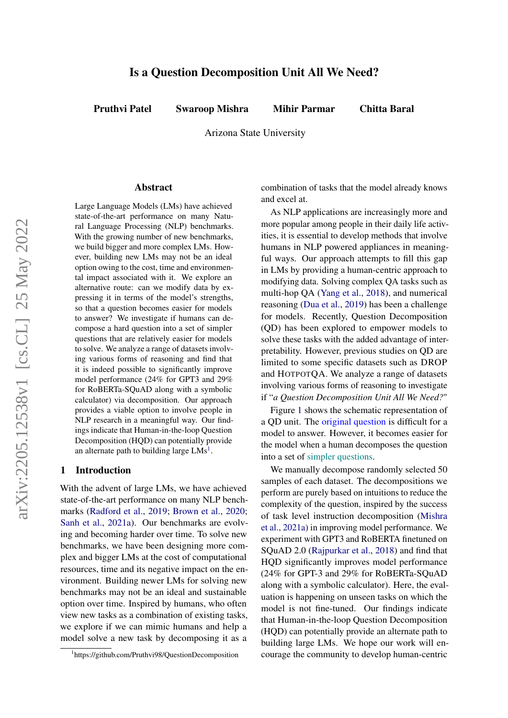# Is a Question Decomposition Unit All We Need?

Pruthvi Patel Swaroop Mishra Mihir Parmar Chitta Baral

Arizona State University

#### Abstract

Large Language Models (LMs) have achieved state-of-the-art performance on many Natural Language Processing (NLP) benchmarks. With the growing number of new benchmarks, we build bigger and more complex LMs. However, building new LMs may not be an ideal option owing to the cost, time and environmental impact associated with it. We explore an alternative route: can we modify data by expressing it in terms of the model's strengths, so that a question becomes easier for models to answer? We investigate if humans can decompose a hard question into a set of simpler questions that are relatively easier for models to solve. We analyze a range of datasets involving various forms of reasoning and find that it is indeed possible to significantly improve model performance (24% for GPT3 and 29% for RoBERTa-SQuAD along with a symbolic calculator) via decomposition. Our approach provides a viable option to involve people in NLP research in a meaningful way. Our findings indicate that Human-in-the-loop Question Decomposition (HQD) can potentially provide an alternate path to building large  $LMs<sup>1</sup>$  $LMs<sup>1</sup>$  $LMs<sup>1</sup>$ .

## 1 Introduction

With the advent of large LMs, we have achieved state-of-the-art performance on many NLP benchmarks [\(Radford et al.,](#page-5-0) [2019;](#page-5-0) [Brown et al.,](#page-4-0) [2020;](#page-4-0) [Sanh et al.,](#page-5-1) [2021a\)](#page-5-1). Our benchmarks are evolving and becoming harder over time. To solve new benchmarks, we have been designing more complex and bigger LMs at the cost of computational resources, time and its negative impact on the environment. Building newer LMs for solving new benchmarks may not be an ideal and sustainable option over time. Inspired by humans, who often view new tasks as a combination of existing tasks, we explore if we can mimic humans and help a model solve a new task by decomposing it as a

combination of tasks that the model already knows and excel at.

As NLP applications are increasingly more and more popular among people in their daily life activities, it is essential to develop methods that involve humans in NLP powered appliances in meaningful ways. Our approach attempts to fill this gap in LMs by providing a human-centric approach to modifying data. Solving complex QA tasks such as multi-hop QA [\(Yang et al.,](#page-5-2) [2018\)](#page-5-2), and numerical reasoning [\(Dua et al.,](#page-4-1) [2019\)](#page-4-1) has been a challenge for models. Recently, Question Decomposition (QD) has been explored to empower models to solve these tasks with the added advantage of interpretability. However, previous studies on QD are limited to some specific datasets such as DROP and HOTPOTQA. We analyze a range of datasets involving various forms of reasoning to investigate if "*a Question Decomposition Unit All We Need?*"

Figure [1](#page-1-0) shows the schematic representation of a QD unit. The original question is difficult for a model to answer. However, it becomes easier for the model when a human decomposes the question into a set of simpler questions.

We manually decompose randomly selected 50 samples of each dataset. The decompositions we perform are purely based on intuitions to reduce the complexity of the question, inspired by the success of task level instruction decomposition [\(Mishra](#page-4-2) [et al.,](#page-4-2) [2021a\)](#page-4-2) in improving model performance. We experiment with GPT3 and RoBERTA finetuned on SQuAD 2.0 [\(Rajpurkar et al.,](#page-5-3) [2018\)](#page-5-3) and find that HQD significantly improves model performance (24% for GPT-3 and 29% for RoBERTa-SQuAD along with a symbolic calculator). Here, the evaluation is happening on unseen tasks on which the model is not fine-tuned. Our findings indicate that Human-in-the-loop Question Decomposition (HQD) can potentially provide an alternate path to building large LMs. We hope our work will encourage the community to develop human-centric

<span id="page-0-0"></span><sup>1</sup> https://github.com/Pruthvi98/QuestionDecomposition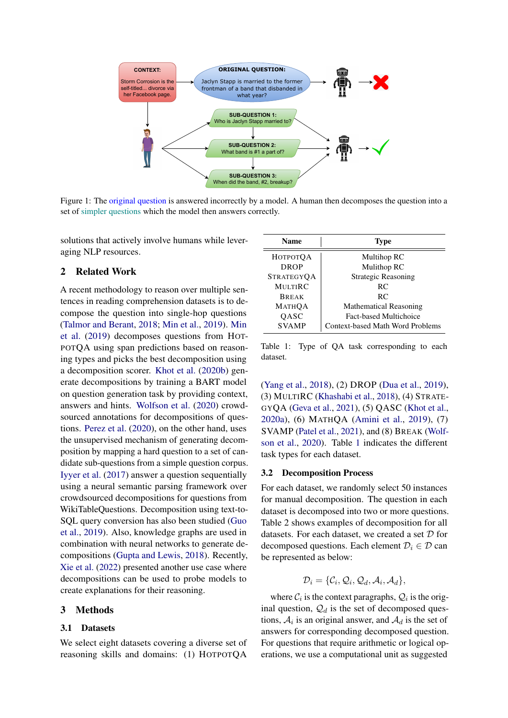<span id="page-1-0"></span>

Figure 1: The original question is answered incorrectly by a model. A human then decomposes the question into a set of simpler questions which the model then answers correctly.

solutions that actively involve humans while leveraging NLP resources.

## 2 Related Work

A recent methodology to reason over multiple sentences in reading comprehension datasets is to decompose the question into single-hop questions [\(Talmor and Berant,](#page-5-4) [2018;](#page-5-4) [Min et al.,](#page-4-3) [2019\)](#page-4-3). [Min](#page-4-3) [et al.](#page-4-3) [\(2019\)](#page-4-3) decomposes questions from HOT-POTQA using span predictions based on reasoning types and picks the best decomposition using a decomposition scorer. [Khot et al.](#page-4-4) [\(2020b\)](#page-4-4) generate decompositions by training a BART model on question generation task by providing context, answers and hints. [Wolfson et al.](#page-5-5) [\(2020\)](#page-5-5) crowdsourced annotations for decompositions of questions. [Perez et al.](#page-5-6) [\(2020\)](#page-5-6), on the other hand, uses the unsupervised mechanism of generating decomposition by mapping a hard question to a set of candidate sub-questions from a simple question corpus. [Iyyer et al.](#page-4-5) [\(2017\)](#page-4-5) answer a question sequentially using a neural semantic parsing framework over crowdsourced decompositions for questions from WikiTableQuestions. Decomposition using text-to-SQL query conversion has also been studied [\(Guo](#page-4-6) [et al.,](#page-4-6) [2019\)](#page-4-6). Also, knowledge graphs are used in combination with neural networks to generate decompositions [\(Gupta and Lewis,](#page-4-7) [2018\)](#page-4-7). Recently, [Xie et al.](#page-5-7) [\(2022\)](#page-5-7) presented another use case where decompositions can be used to probe models to create explanations for their reasoning.

## <span id="page-1-2"></span>3 Methods

#### 3.1 Datasets

We select eight datasets covering a diverse set of reasoning skills and domains: (1) HOTPOTQA

<span id="page-1-1"></span>

| <b>Name</b>       | <b>Type</b>                      |
|-------------------|----------------------------------|
| <b>НОТРОТОА</b>   | Multihop RC                      |
| <b>DROP</b>       | Mulithop RC                      |
| <b>STRATEGYOA</b> | <b>Strategic Reasoning</b>       |
| <b>MULTIRC</b>    | RC.                              |
| <b>BREAK</b>      | RC.                              |
| <b>МАТНОА</b>     | <b>Mathematical Reasoning</b>    |
| OASC              | Fact-based Multichoice           |
| <b>SVAMP</b>      | Context-based Math Word Problems |

Table 1: Type of QA task corresponding to each dataset.

[\(Yang et al.,](#page-5-2) [2018\)](#page-5-2), (2) DROP [\(Dua et al.,](#page-4-1) [2019\)](#page-4-1), (3) MULTIRC [\(Khashabi et al.,](#page-4-8) [2018\)](#page-4-8), (4) STRATE-GYQA [\(Geva et al.,](#page-4-9) [2021\)](#page-4-9), (5) QASC [\(Khot et al.,](#page-4-10) [2020a\)](#page-4-10), (6) MATHQA [\(Amini et al.,](#page-4-11) [2019\)](#page-4-11), (7) SVAMP [\(Patel et al.,](#page-4-12) [2021\)](#page-4-12), and (8) BREAK [\(Wolf](#page-5-5)[son et al.,](#page-5-5) [2020\)](#page-5-5). Table [1](#page-1-1) indicates the different task types for each dataset.

#### 3.2 Decomposition Process

For each dataset, we randomly select 50 instances for manual decomposition. The question in each dataset is decomposed into two or more questions. Table 2 shows examples of decomposition for all datasets. For each dataset, we created a set D for decomposed questions. Each element  $\mathcal{D}_i \in \mathcal{D}$  can be represented as below:

$$
\mathcal{D}_i = \{\mathcal{C}_i, \mathcal{Q}_i, \mathcal{Q}_d, \mathcal{A}_i, \mathcal{A}_d\},\
$$

where  $C_i$  is the context paragraphs,  $Q_i$  is the original question,  $\mathcal{Q}_d$  is the set of decomposed questions,  $A_i$  is an original answer, and  $A_d$  is the set of answers for corresponding decomposed question. For questions that require arithmetic or logical operations, we use a computational unit as suggested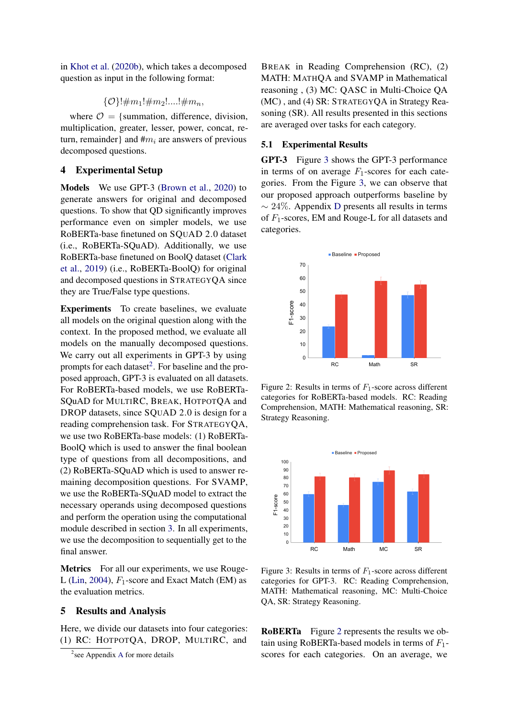in [Khot et al.](#page-4-4) [\(2020b\)](#page-4-4), which takes a decomposed question as input in the following format:

$$
\{\mathcal{O}\}!\uparrow m_1!\#m_2!....!\#m_n,
$$

where  $\mathcal{O} = \{$  summation, difference, division, multiplication, greater, lesser, power, concat, return, remainder} and  $\#m_i$  are answers of previous decomposed questions.

## 4 Experimental Setup

Models We use GPT-3 [\(Brown et al.,](#page-4-0) [2020\)](#page-4-0) to generate answers for original and decomposed questions. To show that QD significantly improves performance even on simpler models, we use RoBERTa-base finetuned on SQUAD 2.0 dataset (i.e., RoBERTa-SQuAD). Additionally, we use RoBERTa-base finetuned on BoolQ dataset [\(Clark](#page-4-13) [et al.,](#page-4-13) [2019\)](#page-4-13) (i.e., RoBERTa-BoolQ) for original and decomposed questions in STRATEGYQA since they are True/False type questions.

Experiments To create baselines, we evaluate all models on the original question along with the context. In the proposed method, we evaluate all models on the manually decomposed questions. We carry out all experiments in GPT-3 by using prompts for each dataset<sup>[2](#page-2-0)</sup>. For baseline and the proposed approach, GPT-3 is evaluated on all datasets. For RoBERTa-based models, we use RoBERTa-SQuAD for MULTIRC, BREAK, HOTPOTQA and DROP datasets, since SQUAD 2.0 is design for a reading comprehension task. For STRATEGYQA, we use two RoBERTa-base models: (1) RoBERTa-BoolQ which is used to answer the final boolean type of questions from all decompositions, and (2) RoBERTa-SQuAD which is used to answer remaining decomposition questions. For SVAMP, we use the RoBERTa-SQuAD model to extract the necessary operands using decomposed questions and perform the operation using the computational module described in section [3.](#page-1-2) In all experiments, we use the decomposition to sequentially get to the final answer.

Metrics For all our experiments, we use Rouge-L [\(Lin,](#page-4-14) [2004\)](#page-4-14),  $F_1$ -score and Exact Match (EM) as the evaluation metrics.

## 5 Results and Analysis

Here, we divide our datasets into four categories: (1) RC: HOTPOTQA, DROP, MULTIRC, and

BREAK in Reading Comprehension (RC), (2) MATH: MATHQA and SVAMP in Mathematical reasoning , (3) MC: QASC in Multi-Choice QA (MC) , and (4) SR: STRATEGYQA in Strategy Reasoning (SR). All results presented in this sections are averaged over tasks for each category.

## 5.1 Experimental Results

GPT-3 Figure [3](#page-2-1) shows the GPT-3 performance in terms of on average  $F_1$ -scores for each categories. From the Figure [3,](#page-2-1) we can observe that our proposed approach outperforms baseline by  $\sim$  24%. Appendix [D](#page-13-0) presents all results in terms of  $F_1$ -scores, EM and Rouge-L for all datasets and categories.

<span id="page-2-2"></span>

Figure 2: Results in terms of  $F_1$ -score across different categories for RoBERTa-based models. RC: Reading Comprehension, MATH: Mathematical reasoning, SR: Strategy Reasoning.

<span id="page-2-1"></span>

Figure 3: Results in terms of  $F_1$ -score across different categories for GPT-3. RC: Reading Comprehension, MATH: Mathematical reasoning, MC: Multi-Choice QA, SR: Strategy Reasoning.

RoBERTa Figure [2](#page-2-2) represents the results we obtain using RoBERTa-based models in terms of  $F_1$ scores for each categories. On an average, we

<span id="page-2-0"></span><sup>&</sup>lt;sup>2</sup> see [A](#page-5-8)ppendix A for more details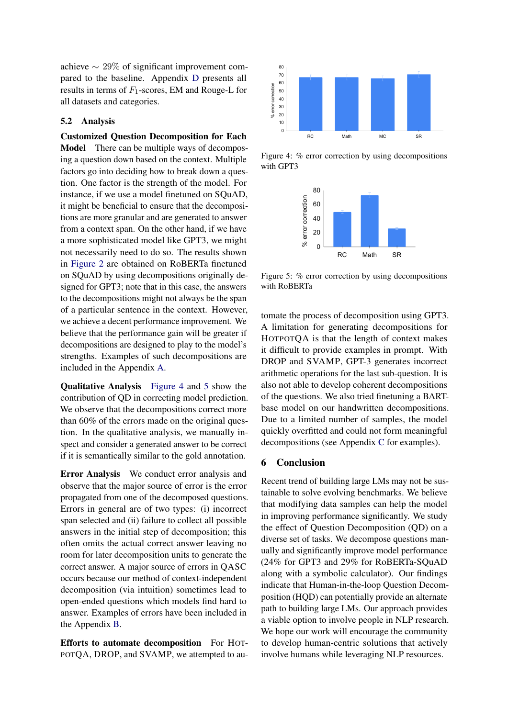achieve  $\sim 29\%$  of significant improvement compared to the baseline. Appendix [D](#page-13-0) presents all results in terms of  $F_1$ -scores, EM and Rouge-L for all datasets and categories.

#### 5.2 Analysis

Customized Question Decomposition for Each Model There can be multiple ways of decomposing a question down based on the context. Multiple factors go into deciding how to break down a question. One factor is the strength of the model. For instance, if we use a model finetuned on SQuAD, it might be beneficial to ensure that the decompositions are more granular and are generated to answer from a context span. On the other hand, if we have a more sophisticated model like GPT3, we might not necessarily need to do so. The results shown in [Figure 2](#page-2-2) are obtained on RoBERTa finetuned on SQuAD by using decompositions originally designed for GPT3; note that in this case, the answers to the decompositions might not always be the span of a particular sentence in the context. However, we achieve a decent performance improvement. We believe that the performance gain will be greater if decompositions are designed to play to the model's strengths. Examples of such decompositions are included in the Appendix [A.](#page-5-8) results in terms of  $F_1$ -scores, EM and Rouge-L for<br>
all datasets and categories.<br>
And datasets and categories.<br>
Customized Question Decomposition for Each<br>
Model There can be multiple ways of decomposition<br>
Model There

Qualitative Analysis [Figure 4](#page-3-0) and [5](#page-3-1) show the contribution of QD in correcting model prediction. We observe that the decompositions correct more than 60% of the errors made on the original question. In the qualitative analysis, we manually inspect and consider a generated answer to be correct if it is semantically similar to the gold annotation.

Error Analysis We conduct error analysis and observe that the major source of error is the error propagated from one of the decomposed questions. Errors in general are of two types: (i) incorrect span selected and (ii) failure to collect all possible answers in the initial step of decomposition; this often omits the actual correct answer leaving no room for later decomposition units to generate the correct answer. A major source of errors in QASC occurs because our method of context-independent decomposition (via intuition) sometimes lead to open-ended questions which models find hard to answer. Examples of errors have been included in the Appendix [B.](#page-9-0)

Efforts to automate decomposition For HOT-

<span id="page-3-0"></span>

<span id="page-3-1"></span>Figure 4: % error correction by using decompositions with GPT3



Figure 5: % error correction by using decompositions with RoBERTa

tomate the process of decomposition using GPT3. A limitation for generating decompositions for HOTPOTQA is that the length of context makes it difficult to provide examples in prompt. With DROP and SVAMP, GPT-3 generates incorrect arithmetic operations for the last sub-question. It is also not able to develop coherent decompositions of the questions. We also tried finetuning a BARTbase model on our handwritten decompositions. Due to a limited number of samples, the model quickly overfitted and could not form meaningful decompositions (see Appendix [C](#page-10-0) for examples).

## 6 Conclusion

Recent trend of building large LMs may not be sustainable to solve evolving benchmarks. We believe that modifying data samples can help the model in improving performance significantly. We study the effect of Question Decomposition (QD) on a diverse set of tasks. We decompose questions manually and significantly improve model performance (24% for GPT3 and 29% for RoBERTa-SQuAD along with a symbolic calculator). Our findings indicate that Human-in-the-loop Question Decomposition (HQD) can potentially provide an alternate path to building large LMs. Our approach provides a viable option to involve people in NLP research. We hope our work will encourage the community to develop human-centric solutions that actively involve humans while leveraging NLP resources.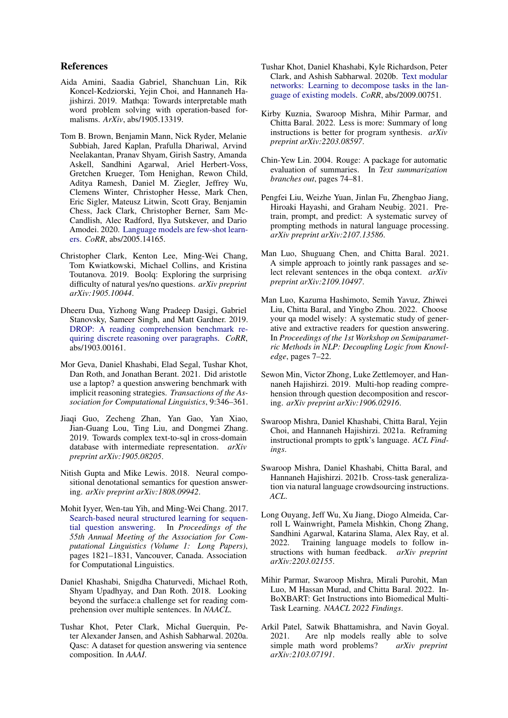## References

- <span id="page-4-11"></span>Aida Amini, Saadia Gabriel, Shanchuan Lin, Rik Koncel-Kedziorski, Yejin Choi, and Hannaneh Hajishirzi. 2019. Mathqa: Towards interpretable math word problem solving with operation-based formalisms. *ArXiv*, abs/1905.13319.
- <span id="page-4-0"></span>Tom B. Brown, Benjamin Mann, Nick Ryder, Melanie Subbiah, Jared Kaplan, Prafulla Dhariwal, Arvind Neelakantan, Pranav Shyam, Girish Sastry, Amanda Askell, Sandhini Agarwal, Ariel Herbert-Voss, Gretchen Krueger, Tom Henighan, Rewon Child, Aditya Ramesh, Daniel M. Ziegler, Jeffrey Wu, Clemens Winter, Christopher Hesse, Mark Chen, Eric Sigler, Mateusz Litwin, Scott Gray, Benjamin Chess, Jack Clark, Christopher Berner, Sam Mc-Candlish, Alec Radford, Ilya Sutskever, and Dario Amodei. 2020. [Language models are few-shot learn](http://arxiv.org/abs/2005.14165)[ers.](http://arxiv.org/abs/2005.14165) *CoRR*, abs/2005.14165.
- <span id="page-4-13"></span>Christopher Clark, Kenton Lee, Ming-Wei Chang, Tom Kwiatkowski, Michael Collins, and Kristina Toutanova. 2019. Boolq: Exploring the surprising difficulty of natural yes/no questions. *arXiv preprint arXiv:1905.10044*.
- <span id="page-4-1"></span>Dheeru Dua, Yizhong Wang Pradeep Dasigi, Gabriel Stanovsky, Sameer Singh, and Matt Gardner. 2019. [DROP: A reading comprehension benchmark re](http://arxiv.org/abs/1903.00161)[quiring discrete reasoning over paragraphs.](http://arxiv.org/abs/1903.00161) *CoRR*, abs/1903.00161.
- <span id="page-4-9"></span>Mor Geva, Daniel Khashabi, Elad Segal, Tushar Khot, Dan Roth, and Jonathan Berant. 2021. Did aristotle use a laptop? a question answering benchmark with implicit reasoning strategies. *Transactions of the Association for Computational Linguistics*, 9:346–361.
- <span id="page-4-6"></span>Jiaqi Guo, Zecheng Zhan, Yan Gao, Yan Xiao, Jian-Guang Lou, Ting Liu, and Dongmei Zhang. 2019. Towards complex text-to-sql in cross-domain database with intermediate representation. *arXiv preprint arXiv:1905.08205*.
- <span id="page-4-7"></span>Nitish Gupta and Mike Lewis. 2018. Neural compositional denotational semantics for question answering. *arXiv preprint arXiv:1808.09942*.
- <span id="page-4-5"></span>Mohit Iyyer, Wen-tau Yih, and Ming-Wei Chang. 2017. [Search-based neural structured learning for sequen](https://doi.org/10.18653/v1/P17-1167)[tial question answering.](https://doi.org/10.18653/v1/P17-1167) In *Proceedings of the 55th Annual Meeting of the Association for Computational Linguistics (Volume 1: Long Papers)*, pages 1821–1831, Vancouver, Canada. Association for Computational Linguistics.
- <span id="page-4-8"></span>Daniel Khashabi, Snigdha Chaturvedi, Michael Roth, Shyam Upadhyay, and Dan Roth. 2018. Looking beyond the surface:a challenge set for reading comprehension over multiple sentences. In *NAACL*.
- <span id="page-4-10"></span>Tushar Khot, Peter Clark, Michal Guerquin, Peter Alexander Jansen, and Ashish Sabharwal. 2020a. Qasc: A dataset for question answering via sentence composition. In *AAAI*.
- <span id="page-4-4"></span>Tushar Khot, Daniel Khashabi, Kyle Richardson, Peter Clark, and Ashish Sabharwal. 2020b. [Text modular](http://arxiv.org/abs/2009.00751) [networks: Learning to decompose tasks in the lan](http://arxiv.org/abs/2009.00751)[guage of existing models.](http://arxiv.org/abs/2009.00751) *CoRR*, abs/2009.00751.
- <span id="page-4-19"></span>Kirby Kuznia, Swaroop Mishra, Mihir Parmar, and Chitta Baral. 2022. Less is more: Summary of long instructions is better for program synthesis. *arXiv preprint arXiv:2203.08597*.
- <span id="page-4-14"></span>Chin-Yew Lin. 2004. Rouge: A package for automatic evaluation of summaries. In *Text summarization branches out*, pages 74–81.
- <span id="page-4-15"></span>Pengfei Liu, Weizhe Yuan, Jinlan Fu, Zhengbao Jiang, Hiroaki Hayashi, and Graham Neubig. 2021. Pretrain, prompt, and predict: A systematic survey of prompting methods in natural language processing. *arXiv preprint arXiv:2107.13586*.
- <span id="page-4-20"></span>Man Luo, Shuguang Chen, and Chitta Baral. 2021. A simple approach to jointly rank passages and select relevant sentences in the obqa context. *arXiv preprint arXiv:2109.10497*.
- <span id="page-4-21"></span>Man Luo, Kazuma Hashimoto, Semih Yavuz, Zhiwei Liu, Chitta Baral, and Yingbo Zhou. 2022. Choose your qa model wisely: A systematic study of generative and extractive readers for question answering. In *Proceedings of the 1st Workshop on Semiparametric Methods in NLP: Decoupling Logic from Knowledge*, pages 7–22.
- <span id="page-4-3"></span>Sewon Min, Victor Zhong, Luke Zettlemoyer, and Hannaneh Hajishirzi. 2019. Multi-hop reading comprehension through question decomposition and rescoring. *arXiv preprint arXiv:1906.02916*.
- <span id="page-4-2"></span>Swaroop Mishra, Daniel Khashabi, Chitta Baral, Yejin Choi, and Hannaneh Hajishirzi. 2021a. Reframing instructional prompts to gptk's language. *ACL Findings*.
- <span id="page-4-16"></span>Swaroop Mishra, Daniel Khashabi, Chitta Baral, and Hannaneh Hajishirzi. 2021b. Cross-task generalization via natural language crowdsourcing instructions. *ACL*.
- <span id="page-4-17"></span>Long Ouyang, Jeff Wu, Xu Jiang, Diogo Almeida, Carroll L Wainwright, Pamela Mishkin, Chong Zhang, Sandhini Agarwal, Katarina Slama, Alex Ray, et al. 2022. Training language models to follow instructions with human feedback. *arXiv preprint arXiv:2203.02155*.
- <span id="page-4-18"></span>Mihir Parmar, Swaroop Mishra, Mirali Purohit, Man Luo, M Hassan Murad, and Chitta Baral. 2022. In-BoXBART: Get Instructions into Biomedical Multi-Task Learning. *NAACL 2022 Findings*.
- <span id="page-4-12"></span>Arkil Patel, Satwik Bhattamishra, and Navin Goyal. 2021. Are nlp models really able to solve simple math word problems? *arXiv preprint arXiv:2103.07191*.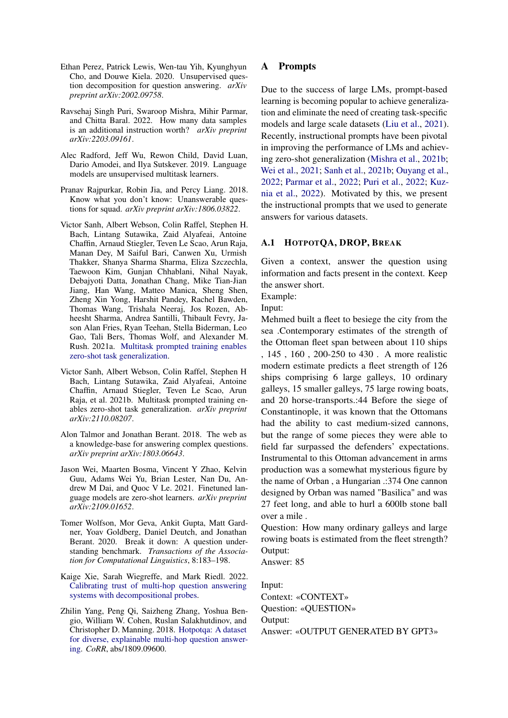- <span id="page-5-6"></span>Ethan Perez, Patrick Lewis, Wen-tau Yih, Kyunghyun Cho, and Douwe Kiela. 2020. Unsupervised question decomposition for question answering. *arXiv preprint arXiv:2002.09758*.
- <span id="page-5-11"></span>Ravsehaj Singh Puri, Swaroop Mishra, Mihir Parmar, and Chitta Baral. 2022. How many data samples is an additional instruction worth? *arXiv preprint arXiv:2203.09161*.
- <span id="page-5-0"></span>Alec Radford, Jeff Wu, Rewon Child, David Luan, Dario Amodei, and Ilya Sutskever. 2019. Language models are unsupervised multitask learners.
- <span id="page-5-3"></span>Pranav Rajpurkar, Robin Jia, and Percy Liang. 2018. Know what you don't know: Unanswerable questions for squad. *arXiv preprint arXiv:1806.03822*.
- <span id="page-5-1"></span>Victor Sanh, Albert Webson, Colin Raffel, Stephen H. Bach, Lintang Sutawika, Zaid Alyafeai, Antoine Chaffin, Arnaud Stiegler, Teven Le Scao, Arun Raja, Manan Dey, M Saiful Bari, Canwen Xu, Urmish Thakker, Shanya Sharma Sharma, Eliza Szczechla, Taewoon Kim, Gunjan Chhablani, Nihal Nayak, Debajyoti Datta, Jonathan Chang, Mike Tian-Jian Jiang, Han Wang, Matteo Manica, Sheng Shen, Zheng Xin Yong, Harshit Pandey, Rachel Bawden, Thomas Wang, Trishala Neeraj, Jos Rozen, Abheesht Sharma, Andrea Santilli, Thibault Fevry, Jason Alan Fries, Ryan Teehan, Stella Biderman, Leo Gao, Tali Bers, Thomas Wolf, and Alexander M. Rush. 2021a. [Multitask prompted training enables](http://arxiv.org/abs/2110.08207) [zero-shot task generalization.](http://arxiv.org/abs/2110.08207)
- <span id="page-5-10"></span>Victor Sanh, Albert Webson, Colin Raffel, Stephen H Bach, Lintang Sutawika, Zaid Alyafeai, Antoine Chaffin, Arnaud Stiegler, Teven Le Scao, Arun Raja, et al. 2021b. Multitask prompted training enables zero-shot task generalization. *arXiv preprint arXiv:2110.08207*.
- <span id="page-5-4"></span>Alon Talmor and Jonathan Berant. 2018. The web as a knowledge-base for answering complex questions. *arXiv preprint arXiv:1803.06643*.
- <span id="page-5-9"></span>Jason Wei, Maarten Bosma, Vincent Y Zhao, Kelvin Guu, Adams Wei Yu, Brian Lester, Nan Du, Andrew M Dai, and Quoc V Le. 2021. Finetuned language models are zero-shot learners. *arXiv preprint arXiv:2109.01652*.
- <span id="page-5-5"></span>Tomer Wolfson, Mor Geva, Ankit Gupta, Matt Gardner, Yoav Goldberg, Daniel Deutch, and Jonathan Berant. 2020. Break it down: A question understanding benchmark. *Transactions of the Association for Computational Linguistics*, 8:183–198.
- <span id="page-5-7"></span>Kaige Xie, Sarah Wiegreffe, and Mark Riedl. 2022. [Calibrating trust of multi-hop question answering](https://doi.org/10.48550/ARXIV.2204.07693) [systems with decompositional probes.](https://doi.org/10.48550/ARXIV.2204.07693)
- <span id="page-5-2"></span>Zhilin Yang, Peng Qi, Saizheng Zhang, Yoshua Bengio, William W. Cohen, Ruslan Salakhutdinov, and Christopher D. Manning. 2018. [Hotpotqa: A dataset](http://arxiv.org/abs/1809.09600) [for diverse, explainable multi-hop question answer](http://arxiv.org/abs/1809.09600)[ing.](http://arxiv.org/abs/1809.09600) *CoRR*, abs/1809.09600.

## <span id="page-5-8"></span>A Prompts

Due to the success of large LMs, prompt-based learning is becoming popular to achieve generalization and eliminate the need of creating task-specific models and large scale datasets [\(Liu et al.,](#page-4-15) [2021\)](#page-4-15). Recently, instructional prompts have been pivotal in improving the performance of LMs and achieving zero-shot generalization [\(Mishra et al.,](#page-4-16) [2021b;](#page-4-16) [Wei et al.,](#page-5-9) [2021;](#page-5-9) [Sanh et al.,](#page-5-10) [2021b;](#page-5-10) [Ouyang et al.,](#page-4-17) [2022;](#page-4-17) [Parmar et al.,](#page-4-18) [2022;](#page-4-18) [Puri et al.,](#page-5-11) [2022;](#page-5-11) [Kuz](#page-4-19)[nia et al.,](#page-4-19) [2022\)](#page-4-19). Motivated by this, we present the instructional prompts that we used to generate answers for various datasets.

## A.1 HOTPOTQA, DROP, BREAK

Given a context, answer the question using information and facts present in the context. Keep the answer short.

Example:

Input:

Mehmed built a fleet to besiege the city from the sea .Contemporary estimates of the strength of the Ottoman fleet span between about 110 ships , 145 , 160 , 200-250 to 430 . A more realistic modern estimate predicts a fleet strength of 126 ships comprising 6 large galleys, 10 ordinary galleys, 15 smaller galleys, 75 large rowing boats, and 20 horse-transports.:44 Before the siege of Constantinople, it was known that the Ottomans had the ability to cast medium-sized cannons, but the range of some pieces they were able to field far surpassed the defenders' expectations. Instrumental to this Ottoman advancement in arms production was a somewhat mysterious figure by the name of Orban , a Hungarian .:374 One cannon designed by Orban was named "Basilica" and was 27 feet long, and able to hurl a 600lb stone ball over a mile .

Question: How many ordinary galleys and large rowing boats is estimated from the fleet strength? Output:

Answer: 85

Input:

Context: «CONTEXT» Question: «QUESTION» Output: Answer: «OUTPUT GENERATED BY GPT3»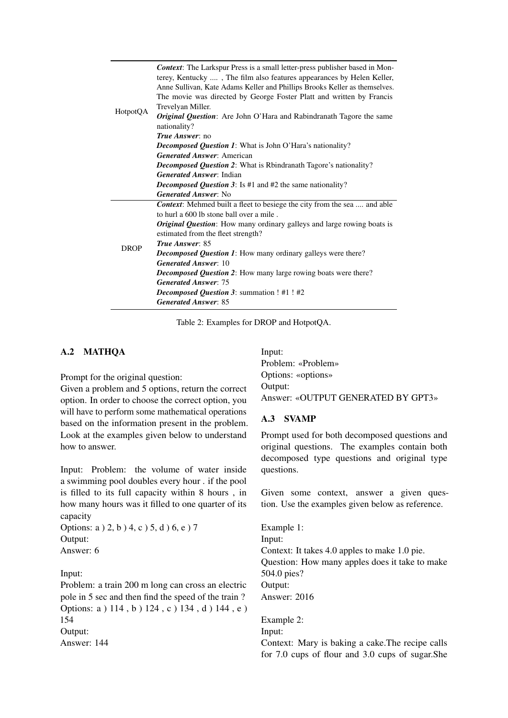| HotpotQA    | <b>Context:</b> The Larkspur Press is a small letter-press publisher based in Mon-<br>terey, Kentucky , The film also features appearances by Helen Keller,<br>Anne Sullivan, Kate Adams Keller and Phillips Brooks Keller as themselves.<br>The movie was directed by George Foster Platt and written by Francis<br>Trevelyan Miller.<br><i>Original Question</i> : Are John O'Hara and Rabindranath Tagore the same<br>nationality?<br><i>True Answer:</i> no |
|-------------|-----------------------------------------------------------------------------------------------------------------------------------------------------------------------------------------------------------------------------------------------------------------------------------------------------------------------------------------------------------------------------------------------------------------------------------------------------------------|
|             |                                                                                                                                                                                                                                                                                                                                                                                                                                                                 |
|             | <b>Decomposed Question 1:</b> What is John O'Hara's nationality?                                                                                                                                                                                                                                                                                                                                                                                                |
|             | <b>Generated Answer: American</b>                                                                                                                                                                                                                                                                                                                                                                                                                               |
|             | <b>Decomposed Question 2:</b> What is Rbindranath Tagore's nationality?                                                                                                                                                                                                                                                                                                                                                                                         |
|             | <b>Generated Answer: Indian</b>                                                                                                                                                                                                                                                                                                                                                                                                                                 |
|             | <i>Decomposed Question 3</i> : Is #1 and #2 the same nationality?                                                                                                                                                                                                                                                                                                                                                                                               |
|             | <b>Generated Answer: No</b>                                                                                                                                                                                                                                                                                                                                                                                                                                     |
|             | Context: Mehmed built a fleet to besiege the city from the sea  and able                                                                                                                                                                                                                                                                                                                                                                                        |
|             | to hurl a 600 lb stone ball over a mile.                                                                                                                                                                                                                                                                                                                                                                                                                        |
|             | <b>Original Question:</b> How many ordinary galleys and large rowing boats is<br>estimated from the fleet strength?                                                                                                                                                                                                                                                                                                                                             |
|             | True Answer: 85                                                                                                                                                                                                                                                                                                                                                                                                                                                 |
| <b>DROP</b> | <b>Decomposed Question 1:</b> How many ordinary galleys were there?                                                                                                                                                                                                                                                                                                                                                                                             |
|             | <b>Generated Answer: 10</b>                                                                                                                                                                                                                                                                                                                                                                                                                                     |
|             | <b>Decomposed Question 2:</b> How many large rowing boats were there?                                                                                                                                                                                                                                                                                                                                                                                           |
|             | <b>Generated Answer: 75</b>                                                                                                                                                                                                                                                                                                                                                                                                                                     |
|             | <b>Decomposed Question 3: summation ! #1 ! #2</b>                                                                                                                                                                                                                                                                                                                                                                                                               |
|             | <b>Generated Answer: 85</b>                                                                                                                                                                                                                                                                                                                                                                                                                                     |

Table 2: Examples for DROP and HotpotQA.

## A.2 MATHQA

Prompt for the original question:

Given a problem and 5 options, return the correct option. In order to choose the correct option, you will have to perform some mathematical operations based on the information present in the problem. Look at the examples given below to understand how to answer.

Input: Problem: the volume of water inside a swimming pool doubles every hour . if the pool is filled to its full capacity within 8 hours , in how many hours was it filled to one quarter of its capacity

```
Options: a ) 2, b ) 4, c ) 5, d ) 6, e ) 7
Output:
Answer: 6
```
Input:

Problem: a train 200 m long can cross an electric pole in 5 sec and then find the speed of the train ? Options: a ) 114 , b ) 124 , c ) 134 , d ) 144 , e ) 154 Output: Answer: 144

Input: Problem: «Problem» Options: «options» Output: Answer: «OUTPUT GENERATED BY GPT3»

#### A.3 SVAMP

Prompt used for both decomposed questions and original questions. The examples contain both decomposed type questions and original type questions.

Given some context, answer a given question. Use the examples given below as reference.

Example 1: Input: Context: It takes 4.0 apples to make 1.0 pie. Question: How many apples does it take to make 504.0 pies? Output: Answer: 2016

Example 2: Input: Context: Mary is baking a cake.The recipe calls for 7.0 cups of flour and 3.0 cups of sugar.She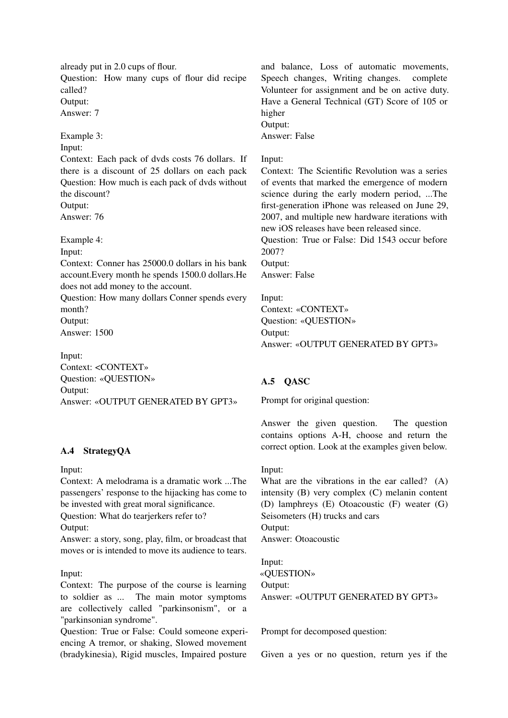already put in 2.0 cups of flour. Question: How many cups of flour did recipe called? Output:

Answer: 7

Example 3:

# Input:

Context: Each pack of dvds costs 76 dollars. If there is a discount of 25 dollars on each pack Question: How much is each pack of dvds without the discount? Output:

Answer: 76

Example 4:

Input:

Context: Conner has 25000.0 dollars in his bank account.Every month he spends 1500.0 dollars.He does not add money to the account.

Question: How many dollars Conner spends every month? Output:

Answer: 1500

Input: Context: <CONTEXT» Question: «QUESTION» Output: Answer: «OUTPUT GENERATED BY GPT3»

## A.4 StrategyQA

Input:

Context: A melodrama is a dramatic work ...The passengers' response to the hijacking has come to be invested with great moral significance.

Question: What do tearjerkers refer to?

Output:

Answer: a story, song, play, film, or broadcast that moves or is intended to move its audience to tears.

## Input:

Context: The purpose of the course is learning to soldier as ... The main motor symptoms are collectively called "parkinsonism", or a "parkinsonian syndrome".

Question: True or False: Could someone experiencing A tremor, or shaking, Slowed movement (bradykinesia), Rigid muscles, Impaired posture

and balance, Loss of automatic movements, Speech changes, Writing changes. complete Volunteer for assignment and be on active duty. Have a General Technical (GT) Score of 105 or higher Output:

Answer: False

## Input:

Context: The Scientific Revolution was a series of events that marked the emergence of modern science during the early modern period, ...The first-generation iPhone was released on June 29, 2007, and multiple new hardware iterations with new iOS releases have been released since.

Question: True or False: Did 1543 occur before 2007?

Output:

Answer: False

Input: Context: «CONTEXT» Question: «QUESTION» Output: Answer: «OUTPUT GENERATED BY GPT3»

# A.5 QASC

Prompt for original question:

Answer the given question. The question contains options A-H, choose and return the correct option. Look at the examples given below.

## Input:

What are the vibrations in the ear called? (A) intensity (B) very complex (C) melanin content (D) lamphreys (E) Otoacoustic (F) weater (G) Seisometers (H) trucks and cars Output: Answer: Otoacoustic

Input: «QUESTION» Output: Answer: «OUTPUT GENERATED BY GPT3»

Prompt for decomposed question:

Given a yes or no question, return yes if the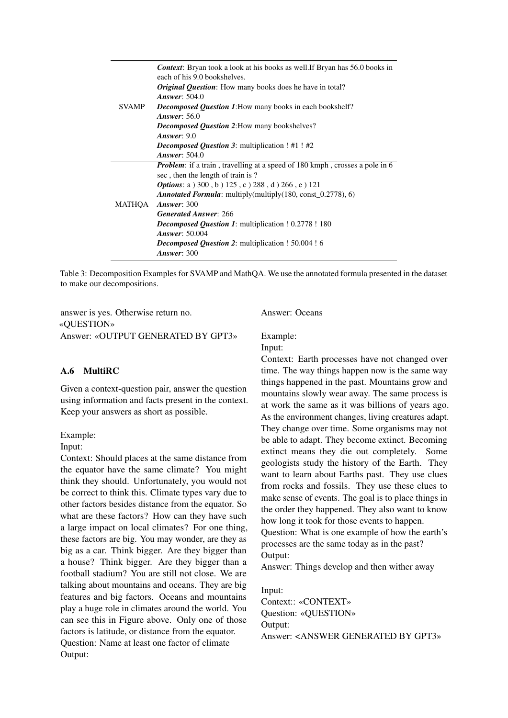|              | <b>Context:</b> Bryan took a look at his books as well. If Bryan has 56.0 books in<br>each of his 9.0 bookshelves. |
|--------------|--------------------------------------------------------------------------------------------------------------------|
|              | Original Question: How many books does he have in total?                                                           |
|              | <b>Answer: 504.0</b>                                                                                               |
| <b>SVAMP</b> | <b>Decomposed Question 1:</b> How many books in each bookshelf?                                                    |
|              | <b>Answer: 56.0</b>                                                                                                |
|              | Decomposed Question 2: How many bookshelves?                                                                       |
|              | Answer: $9.0$                                                                                                      |
|              | <b>Decomposed Question 3:</b> multiplication ! #1 ! #2                                                             |
|              | <b>Answer: 504.0</b>                                                                                               |
|              | <i>Problem:</i> if a train, travelling at a speed of 180 kmph, crosses a pole in 6                                 |
|              | sec, then the length of train is?                                                                                  |
|              | <b>Options:</b> a $(300, b) 125, c) 288, d) 266, e) 121$                                                           |
|              | <b>Annotated Formula:</b> multiply(multiply(180, const $(0.2778), 6$ )                                             |
| MATHQA       | <b>Answer: 300</b>                                                                                                 |
|              | <b>Generated Answer: 266</b>                                                                                       |
|              | <b>Decomposed Question 1:</b> multiplication ! 0.2778 ! 180                                                        |
|              | <b>Answer: 50.004</b>                                                                                              |
|              | <b>Decomposed Question 2:</b> multiplication ! 50.004 ! 6                                                          |
|              | Answer: $300$                                                                                                      |

Table 3: Decomposition Examples for SVAMP and MathQA. We use the annotated formula presented in the dataset to make our decompositions.

answer is yes. Otherwise return no. «QUESTION» Answer: «OUTPUT GENERATED BY GPT3»

## A.6 MultiRC

Given a context-question pair, answer the question using information and facts present in the context. Keep your answers as short as possible.

Example:

## Input:

Context: Should places at the same distance from the equator have the same climate? You might think they should. Unfortunately, you would not be correct to think this. Climate types vary due to other factors besides distance from the equator. So what are these factors? How can they have such a large impact on local climates? For one thing, these factors are big. You may wonder, are they as big as a car. Think bigger. Are they bigger than a house? Think bigger. Are they bigger than a football stadium? You are still not close. We are talking about mountains and oceans. They are big features and big factors. Oceans and mountains play a huge role in climates around the world. You can see this in Figure above. Only one of those factors is latitude, or distance from the equator. Question: Name at least one factor of climate Output:

Answer: Oceans

# Example:

## Input:

Context: Earth processes have not changed over time. The way things happen now is the same way things happened in the past. Mountains grow and mountains slowly wear away. The same process is at work the same as it was billions of years ago. As the environment changes, living creatures adapt. They change over time. Some organisms may not be able to adapt. They become extinct. Becoming extinct means they die out completely. Some geologists study the history of the Earth. They want to learn about Earths past. They use clues from rocks and fossils. They use these clues to make sense of events. The goal is to place things in the order they happened. They also want to know how long it took for those events to happen. Question: What is one example of how the earth's processes are the same today as in the past? Output:

Answer: Things develop and then wither away

Input: Context:: «CONTEXT» Question: «QUESTION» Output: Answer: <ANSWER GENERATED BY GPT3»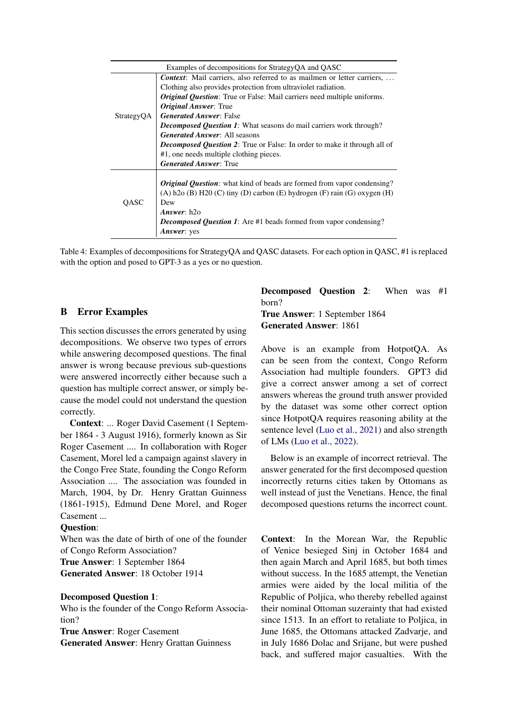|            | Examples of decompositions for StrategyQA and QASC                              |
|------------|---------------------------------------------------------------------------------|
|            | Context: Mail carriers, also referred to as mailmen or letter carriers,         |
|            | Clothing also provides protection from ultraviolet radiation.                   |
|            | <b>Original Question:</b> True or False: Mail carriers need multiple uniforms.  |
|            | <b>Original Answer: True</b>                                                    |
| StrategyQA | <b>Generated Answer: False</b>                                                  |
|            | <b>Decomposed Question 1:</b> What seasons do mail carriers work through?       |
|            | <b>Generated Answer: All seasons</b>                                            |
|            | <b>Decomposed Question 2:</b> True or False: In order to make it through all of |
|            | #1, one needs multiple clothing pieces.                                         |
|            | <b>Generated Answer: True</b>                                                   |
|            |                                                                                 |
|            | <i>Original Question</i> : what kind of beads are formed from vapor condensing? |
|            | (A) h2o (B) H2O (C) tiny (D) carbon (E) hydrogen (F) rain (G) oxygen (H)        |
| OASC       | Dew                                                                             |
|            | Answer: $h2o$                                                                   |
|            | <b>Decomposed Question 1:</b> Are #1 beads formed from vapor condensing?        |
|            | <b>Answer</b> : yes                                                             |

Table 4: Examples of decompositions for StrategyQA and QASC datasets. For each option in QASC, #1 is replaced with the option and posed to GPT-3 as a yes or no question.

## <span id="page-9-0"></span>B Error Examples

This section discusses the errors generated by using decompositions. We observe two types of errors while answering decomposed questions. The final answer is wrong because previous sub-questions were answered incorrectly either because such a question has multiple correct answer, or simply because the model could not understand the question correctly.

Context: ... Roger David Casement (1 September 1864 - 3 August 1916), formerly known as Sir Roger Casement .... In collaboration with Roger Casement, Morel led a campaign against slavery in the Congo Free State, founding the Congo Reform Association .... The association was founded in March, 1904, by Dr. Henry Grattan Guinness (1861-1915), Edmund Dene Morel, and Roger Casement ...

## Question:

When was the date of birth of one of the founder of Congo Reform Association? True Answer: 1 September 1864

Generated Answer: 18 October 1914

## Decomposed Question 1:

Who is the founder of the Congo Reform Association?

True Answer: Roger Casement Generated Answer: Henry Grattan Guinness Decomposed Question 2: When was #1 born? True Answer: 1 September 1864 Generated Answer: 1861

Above is an example from HotpotQA. As can be seen from the context, Congo Reform Association had multiple founders. GPT3 did give a correct answer among a set of correct answers whereas the ground truth answer provided by the dataset was some other correct option since HotpotQA requires reasoning ability at the sentence level [\(Luo et al.,](#page-4-20) [2021\)](#page-4-20) and also strength of LMs [\(Luo et al.,](#page-4-21) [2022\)](#page-4-21).

Below is an example of incorrect retrieval. The answer generated for the first decomposed question incorrectly returns cities taken by Ottomans as well instead of just the Venetians. Hence, the final decomposed questions returns the incorrect count.

Context: In the Morean War, the Republic of Venice besieged Sinj in October 1684 and then again March and April 1685, but both times without success. In the 1685 attempt, the Venetian armies were aided by the local militia of the Republic of Poljica, who thereby rebelled against their nominal Ottoman suzerainty that had existed since 1513. In an effort to retaliate to Poljica, in June 1685, the Ottomans attacked Zadvarje, and in July 1686 Dolac and Srijane, but were pushed back, and suffered major casualties. With the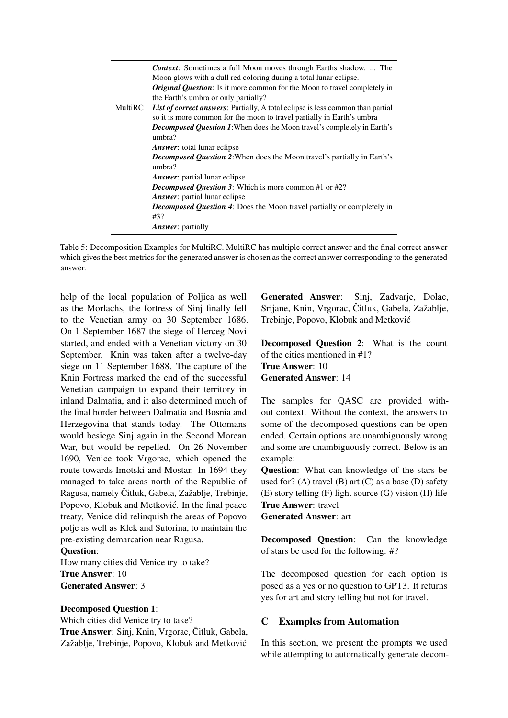|         | <b>Context:</b> Sometimes a full Moon moves through Earths shadow.  The<br>Moon glows with a dull red coloring during a total lunar eclipse.<br><b>Original Question:</b> Is it more common for the Moon to travel completely in<br>the Earth's umbra or only partially? |
|---------|--------------------------------------------------------------------------------------------------------------------------------------------------------------------------------------------------------------------------------------------------------------------------|
| MultiRC | List of correct answers: Partially, A total eclipse is less common than partial<br>so it is more common for the moon to travel partially in Earth's umbra                                                                                                                |
|         | <b>Decomposed Question 1:</b> When does the Moon travel's completely in Earth's<br>umbra?                                                                                                                                                                                |
|         | <i>Answer</i> : total lunar eclipse                                                                                                                                                                                                                                      |
|         | <b>Decomposed Question 2:</b> When does the Moon travel's partially in Earth's<br>umbra?                                                                                                                                                                                 |
|         | Answer: partial lunar eclipse                                                                                                                                                                                                                                            |
|         | Decomposed Question 3: Which is more common #1 or #2?                                                                                                                                                                                                                    |
|         | <b>Answer:</b> partial lunar eclipse                                                                                                                                                                                                                                     |
|         | <b>Decomposed Question 4:</b> Does the Moon travel partially or completely in                                                                                                                                                                                            |
|         | #3?                                                                                                                                                                                                                                                                      |
|         | <b>Answer:</b> partially                                                                                                                                                                                                                                                 |

Table 5: Decomposition Examples for MultiRC. MultiRC has multiple correct answer and the final correct answer which gives the best metrics for the generated answer is chosen as the correct answer corresponding to the generated answer.

help of the local population of Poljica as well as the Morlachs, the fortress of Sinj finally fell to the Venetian army on 30 September 1686. On 1 September 1687 the siege of Herceg Novi started, and ended with a Venetian victory on 30 September. Knin was taken after a twelve-day siege on 11 September 1688. The capture of the Knin Fortress marked the end of the successful Venetian campaign to expand their territory in inland Dalmatia, and it also determined much of the final border between Dalmatia and Bosnia and Herzegovina that stands today. The Ottomans would besiege Sinj again in the Second Morean War, but would be repelled. On 26 November 1690, Venice took Vrgorac, which opened the route towards Imotski and Mostar. In 1694 they managed to take areas north of the Republic of Ragusa, namely Čitluk, Gabela, Zažablje, Trebinje, Popovo, Klobuk and Metković. In the final peace treaty, Venice did relinquish the areas of Popovo polje as well as Klek and Sutorina, to maintain the pre-existing demarcation near Ragusa.

## Question:

How many cities did Venice try to take? True Answer: 10 Generated Answer: 3

## Decomposed Question 1:

Which cities did Venice try to take? True Answer: Sinj, Knin, Vrgorac, Čitluk, Gabela, Zažablje, Trebinje, Popovo, Klobuk and Metkovic´

Generated Answer: Sinj, Zadvarje, Dolac, Srijane, Knin, Vrgorac, Čitluk, Gabela, Zažablje, Trebinje, Popovo, Klobuk and Metkovic´

Decomposed Question 2: What is the count of the cities mentioned in #1? True Answer: 10 Generated Answer: 14

The samples for QASC are provided without context. Without the context, the answers to some of the decomposed questions can be open ended. Certain options are unambiguously wrong and some are unambiguously correct. Below is an example:

Question: What can knowledge of the stars be used for? (A) travel (B) art  $(C)$  as a base  $(D)$  safety (E) story telling (F) light source (G) vision (H) life True Answer: travel Generated Answer: art

Decomposed Question: Can the knowledge of stars be used for the following: #?

The decomposed question for each option is posed as a yes or no question to GPT3. It returns yes for art and story telling but not for travel.

## <span id="page-10-0"></span>C Examples from Automation

In this section, we present the prompts we used while attempting to automatically generate decom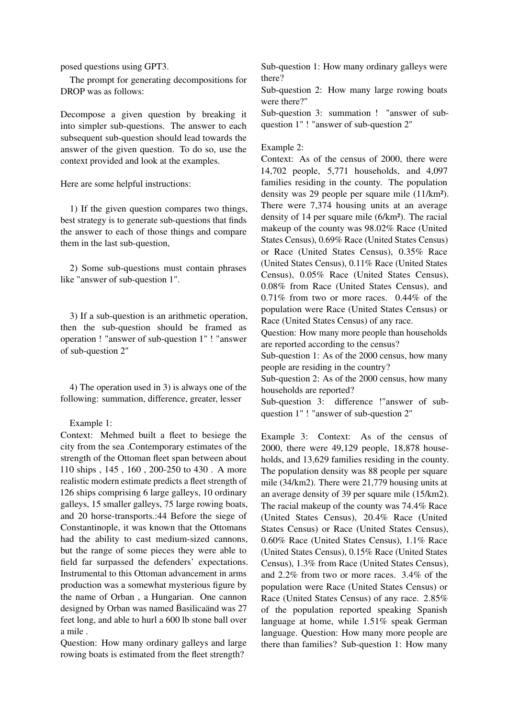posed questions using GPT3.

The prompt for generating decompositions for DROP was as follows:

Decompose a given question by breaking it into simpler sub-questions. The answer to each subsequent sub-question should lead towards the answer of the given question. To do so, use the context provided and look at the examples.

Here are some helpful instructions:

1) If the given question compares two things, best strategy is to generate sub-questions that finds the answer to each of those things and compare them in the last sub-question,

2) Some sub-questions must contain phrases like "answer of sub-question 1".

3) If a sub-question is an arithmetic operation, then the sub-question should be framed as operation ! "answer of sub-question 1" ! "answer of sub-question 2"

4) The operation used in 3) is always one of the following: summation, difference, greater, lesser

Example 1:

Context: Mehmed built a fleet to besiege the city from the sea .Contemporary estimates of the strength of the Ottoman fleet span between about 110 ships , 145 , 160 , 200-250 to 430 . A more realistic modern estimate predicts a fleet strength of 126 ships comprising 6 large galleys, 10 ordinary galleys, 15 smaller galleys, 75 large rowing boats, and 20 horse-transports.:44 Before the siege of Constantinople, it was known that the Ottomans had the ability to cast medium-sized cannons, but the range of some pieces they were able to field far surpassed the defenders' expectations. Instrumental to this Ottoman advancement in arms production was a somewhat mysterious figure by the name of Orban , a Hungarian. One cannon designed by Orban was named Basilicaänd was 27 feet long, and able to hurl a 600 lb stone ball over a mile .

Question: How many ordinary galleys and large rowing boats is estimated from the fleet strength?

Sub-question 1: How many ordinary galleys were there?

Sub-question 2: How many large rowing boats were there?"

Sub-question 3: summation ! "answer of subquestion 1" ! "answer of sub-question 2"

## Example 2:

Context: As of the census of 2000, there were 14,702 people, 5,771 households, and 4,097 families residing in the county. The population density was 29 people per square mile (11/km²). There were 7,374 housing units at an average density of 14 per square mile (6/km²). The racial makeup of the county was 98.02% Race (United States Census), 0.69% Race (United States Census) or Race (United States Census), 0.35% Race (United States Census), 0.11% Race (United States Census), 0.05% Race (United States Census), 0.08% from Race (United States Census), and 0.71% from two or more races. 0.44% of the population were Race (United States Census) or Race (United States Census) of any race.

Question: How many more people than households are reported according to the census?

Sub-question 1: As of the 2000 census, how many people are residing in the country?

Sub-question 2: As of the 2000 census, how many households are reported?

Sub-question 3: difference !"answer of subquestion 1" ! "answer of sub-question 2"

Example 3: Context: As of the census of 2000, there were 49,129 people, 18,878 households, and 13,629 families residing in the county. The population density was 88 people per square mile (34/km2). There were 21,779 housing units at an average density of 39 per square mile (15/km2). The racial makeup of the county was 74.4% Race (United States Census), 20.4% Race (United States Census) or Race (United States Census), 0.60% Race (United States Census), 1.1% Race (United States Census), 0.15% Race (United States Census), 1.3% from Race (United States Census), and 2.2% from two or more races. 3.4% of the population were Race (United States Census) or Race (United States Census) of any race. 2.85% of the population reported speaking Spanish language at home, while 1.51% speak German language. Question: How many more people are there than families? Sub-question 1: How many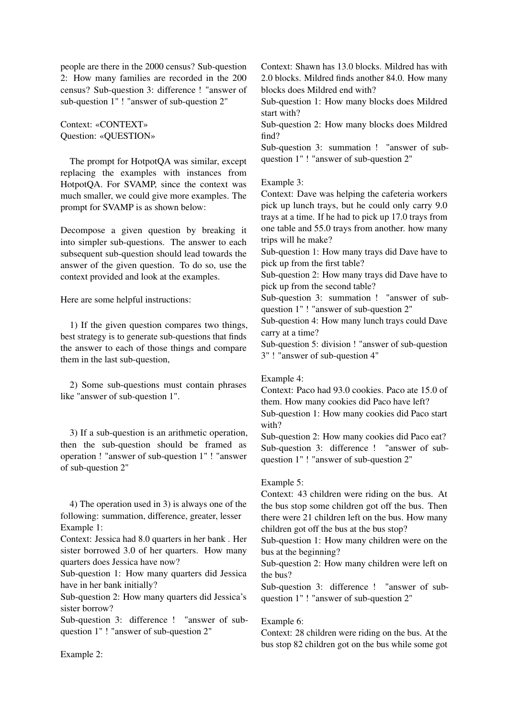people are there in the 2000 census? Sub-question 2: How many families are recorded in the 200 census? Sub-question 3: difference ! "answer of sub-question 1" ! "answer of sub-question 2"

Context: «CONTEXT» Question: «QUESTION»

The prompt for HotpotQA was similar, except replacing the examples with instances from HotpotQA. For SVAMP, since the context was much smaller, we could give more examples. The prompt for SVAMP is as shown below:

Decompose a given question by breaking it into simpler sub-questions. The answer to each subsequent sub-question should lead towards the answer of the given question. To do so, use the context provided and look at the examples.

Here are some helpful instructions:

1) If the given question compares two things, best strategy is to generate sub-questions that finds the answer to each of those things and compare them in the last sub-question,

2) Some sub-questions must contain phrases like "answer of sub-question 1".

3) If a sub-question is an arithmetic operation, then the sub-question should be framed as operation ! "answer of sub-question 1" ! "answer of sub-question 2"

4) The operation used in 3) is always one of the following: summation, difference, greater, lesser Example 1:

Context: Jessica had 8.0 quarters in her bank . Her sister borrowed 3.0 of her quarters. How many quarters does Jessica have now?

Sub-question 1: How many quarters did Jessica have in her bank initially?

Sub-question 2: How many quarters did Jessica's sister borrow?

Sub-question 3: difference ! "answer of subquestion 1" ! "answer of sub-question 2"

Context: Shawn has 13.0 blocks. Mildred has with 2.0 blocks. Mildred finds another 84.0. How many blocks does Mildred end with?

Sub-question 1: How many blocks does Mildred start with?

Sub-question 2: How many blocks does Mildred find?

Sub-question 3: summation ! "answer of subquestion 1" ! "answer of sub-question 2"

Example 3:

Context: Dave was helping the cafeteria workers pick up lunch trays, but he could only carry 9.0 trays at a time. If he had to pick up 17.0 trays from one table and 55.0 trays from another. how many trips will he make?

Sub-question 1: How many trays did Dave have to pick up from the first table?

Sub-question 2: How many trays did Dave have to pick up from the second table?

Sub-question 3: summation ! "answer of subquestion 1" ! "answer of sub-question 2"

Sub-question 4: How many lunch trays could Dave carry at a time?

Sub-question 5: division ! "answer of sub-question 3" ! "answer of sub-question 4"

Example 4:

Context: Paco had 93.0 cookies. Paco ate 15.0 of them. How many cookies did Paco have left?

Sub-question 1: How many cookies did Paco start with?

Sub-question 2: How many cookies did Paco eat? Sub-question 3: difference ! "answer of subquestion 1" ! "answer of sub-question 2"

## Example 5:

Context: 43 children were riding on the bus. At the bus stop some children got off the bus. Then there were 21 children left on the bus. How many children got off the bus at the bus stop?

Sub-question 1: How many children were on the bus at the beginning?

Sub-question 2: How many children were left on the bus?

Sub-question 3: difference ! "answer of subquestion 1" ! "answer of sub-question 2"

## Example 6:

Context: 28 children were riding on the bus. At the bus stop 82 children got on the bus while some got

Example 2: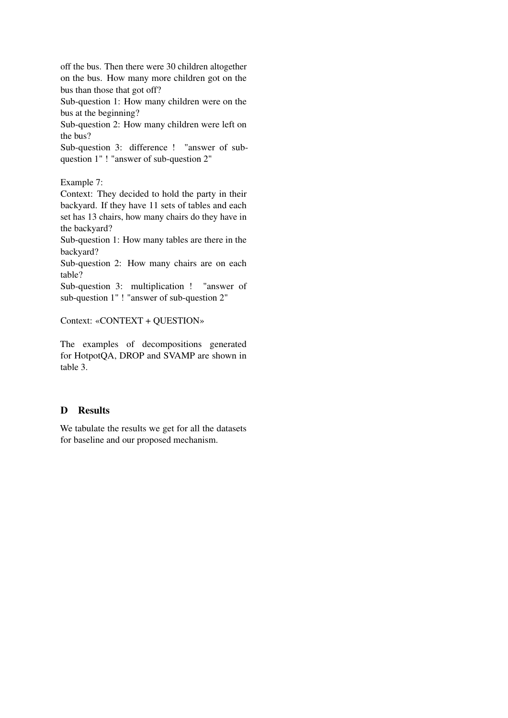off the bus. Then there were 30 children altogether on the bus. How many more children got on the bus than those that got off?

Sub-question 1: How many children were on the bus at the beginning?

Sub-question 2: How many children were left on the bus?

Sub-question 3: difference ! "answer of subquestion 1" ! "answer of sub-question 2"

Example 7:

Context: They decided to hold the party in their backyard. If they have 11 sets of tables and each set has 13 chairs, how many chairs do they have in the backyard?

Sub-question 1: How many tables are there in the backyard?

Sub-question 2: How many chairs are on each table?

Sub-question 3: multiplication ! "answer of sub-question 1" ! "answer of sub-question 2"

Context: «CONTEXT + QUESTION»

The examples of decompositions generated for HotpotQA, DROP and SVAMP are shown in table 3.

# <span id="page-13-0"></span>D Results

We tabulate the results we get for all the datasets for baseline and our proposed mechanism.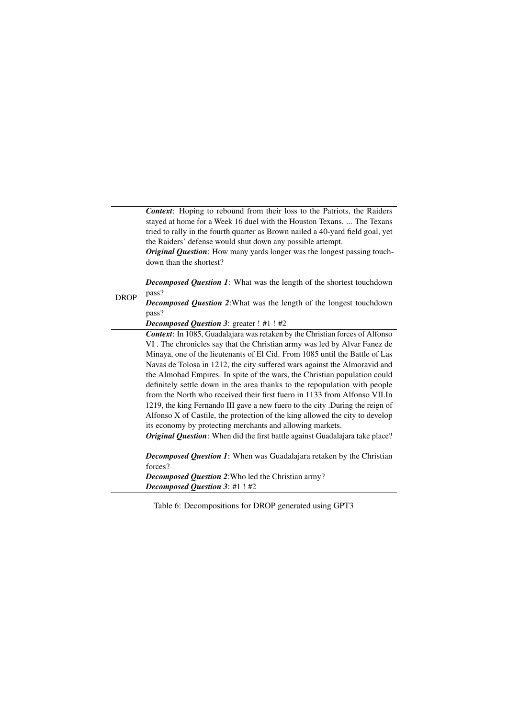*Context*: Hoping to rebound from their loss to the Patriots, the Raiders stayed at home for a Week 16 duel with the Houston Texans. ... The Texans tried to rally in the fourth quarter as Brown nailed a 40-yard field goal, yet the Raiders' defense would shut down any possible attempt.

*Original Question*: How many yards longer was the longest passing touchdown than the shortest?

*Decomposed Question 1*: What was the length of the shortest touchdown pass?

DROP *Decomposed Question 2*:What was the length of the longest touchdown pass?

*Decomposed Question 3*: greater ! #1 ! #2

*Context*: In 1085, Guadalajara was retaken by the Christian forces of Alfonso VI . The chronicles say that the Christian army was led by Alvar Fanez de Minaya, one of the lieutenants of El Cid. From 1085 until the Battle of Las Navas de Tolosa in 1212, the city suffered wars against the Almoravid and the Almohad Empires. In spite of the wars, the Christian population could definitely settle down in the area thanks to the repopulation with people from the North who received their first fuero in 1133 from Alfonso VII.In 1219, the king Fernando III gave a new fuero to the city .During the reign of Alfonso X of Castile, the protection of the king allowed the city to develop its economy by protecting merchants and allowing markets.

*Original Question:* When did the first battle against Guadalajara take place?

*Decomposed Question 1*: When was Guadalajara retaken by the Christian forces? *Decomposed Question 2*:Who led the Christian army?

*Decomposed Question 3*: #1 ! #2

Table 6: Decompositions for DROP generated using GPT3